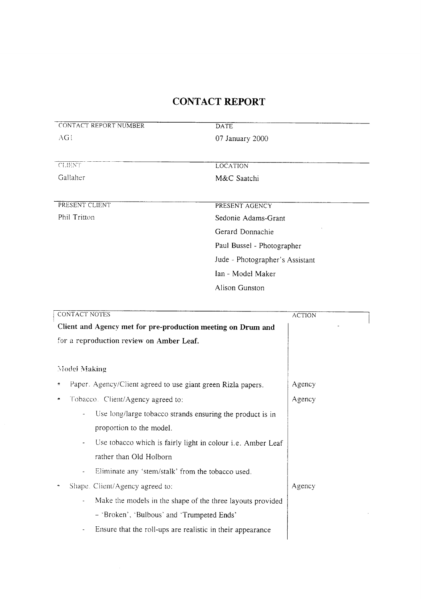| <b>CONTACT NOTES</b>                                                         | <b>ACTION</b> |
|------------------------------------------------------------------------------|---------------|
| Client and Agency met for pre-production meeting on Drum and                 |               |
| for a reproduction review on Amber Leaf.                                     |               |
|                                                                              |               |
| Model Making                                                                 |               |
| Paper. Agency/Client agreed to use giant green Rizla papers.<br>e,           | Agency        |
| Tobacco. Client/Agency agreed to:                                            | Agency        |
| Use long/large tobacco strands ensuring the product is in                    |               |
| proportion to the model.                                                     |               |
| Use tobacco which is fairly light in colour <i>i.e.</i> Amber Leaf           |               |
| rather than Old Holborn                                                      |               |
| Eliminate any 'stem/stalk' from the tobacco used.                            |               |
| Shape. Client/Agency agreed to:                                              | Agency        |
| Make the models in the shape of the three layouts provided<br>$\blacksquare$ |               |
| - 'Broken', 'Bulbous' and 'Trumpeted Ends'                                   |               |
| Ensure that the roll-ups are realistic in their appearance                   |               |
|                                                                              |               |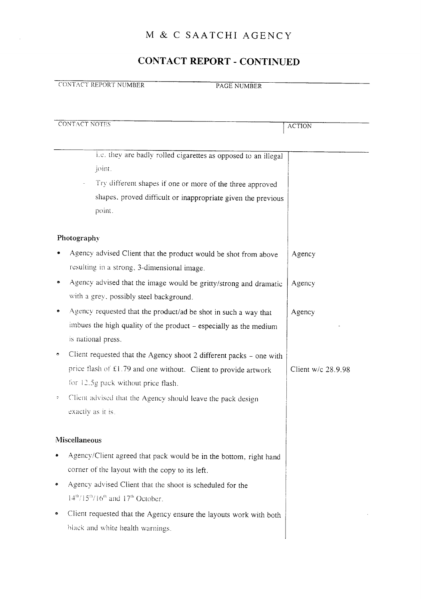## CONTACT REPORT - CONTINUED

| CONTACT REPORT NUMBER |  |
|-----------------------|--|

PAGE NUMBER

|    | CONTACT NOTES<br><b>ACTION</b>                                      |                    |  |
|----|---------------------------------------------------------------------|--------------------|--|
|    |                                                                     |                    |  |
|    |                                                                     |                    |  |
|    | i.e. they are badly rolled cigarettes as opposed to an illegal      |                    |  |
|    | joint.                                                              |                    |  |
|    | Try different shapes if one or more of the three approved           |                    |  |
|    | shapes, proved difficult or inappropriate given the previous        |                    |  |
|    | point.                                                              |                    |  |
|    | Photography                                                         |                    |  |
|    | Agency advised Client that the product would be shot from above     | Agency             |  |
|    | resulting in a strong, 3-dimensional image.                         |                    |  |
|    | Agency advised that the image would be gritty/strong and dramatic   | Agency             |  |
|    | with a grey, possibly steel background.                             |                    |  |
|    | Agency requested that the product/ad be shot in such a way that     | Agency             |  |
|    | imbues the high quality of the product - especially as the medium   |                    |  |
|    | is national press.                                                  |                    |  |
|    |                                                                     |                    |  |
| ۰  | Client requested that the Agency shoot 2 different packs - one with |                    |  |
|    | price flash of £1.79 and one without. Client to provide artwork     | Client w/c 28.9.98 |  |
|    | for 12.5g pack without price flash.                                 |                    |  |
| C, | Client advised that the Agency should leave the pack design         |                    |  |
|    | exactly as it is.                                                   |                    |  |
|    |                                                                     |                    |  |
|    | Miscellaneous                                                       |                    |  |
|    | Agency/Client agreed that pack would be in the bottom, right hand   |                    |  |
|    | corner of the layout with the copy to its left.                     |                    |  |
| ۰  | Agency advised Client that the shoot is scheduled for the           |                    |  |
|    | $14th/15th/16th$ and $17th$ October.                                |                    |  |
| ۰  | Client requested that the Agency ensure the layouts work with both  |                    |  |
|    | black and white health warnings.                                    |                    |  |
|    |                                                                     |                    |  |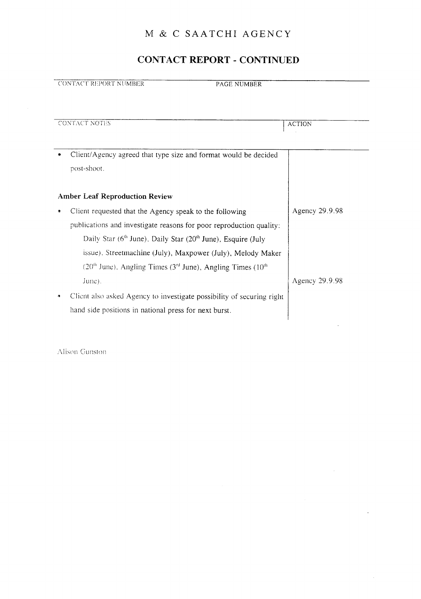## CONTACT REPORT - CONTINUED

|   | <b>CONTACT REPORT NUMBER</b><br><b>PAGE NUMBER</b>                                                                                                                                                                                                                                                                                                          |                |
|---|-------------------------------------------------------------------------------------------------------------------------------------------------------------------------------------------------------------------------------------------------------------------------------------------------------------------------------------------------------------|----------------|
|   |                                                                                                                                                                                                                                                                                                                                                             |                |
|   | <b>CONTACT NOTES</b>                                                                                                                                                                                                                                                                                                                                        | <b>ACTION</b>  |
|   | Client/Agency agreed that type size and format would be decided<br>post-shoot.                                                                                                                                                                                                                                                                              |                |
|   | <b>Amber Leaf Reproduction Review</b>                                                                                                                                                                                                                                                                                                                       |                |
| ٠ | Client requested that the Agency speak to the following<br>publications and investigate reasons for poor reproduction quality:<br>Daily Star $(6th$ June). Daily Star $(20th$ June). Esquire (July<br>issue). Streetmachine (July), Maxpower (July), Melody Maker<br>$(20th$ June), Angling Times (3 <sup>rd</sup> June), Angling Times (10 <sup>th</sup> ) | Agency 29.9.98 |
|   | June).<br>Client also asked Agency to investigate possibility of securing right<br>hand side positions in national press for next burst.                                                                                                                                                                                                                    | Agency 29.9.98 |

 $\sim$ 

 $\bar{z}$ 

Alison Gunston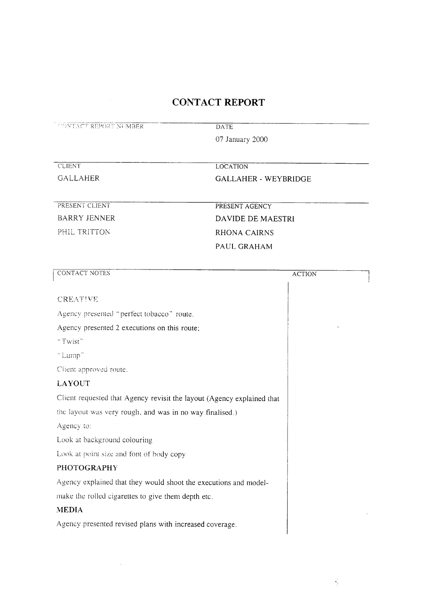| <b>CONTACT REPORT NUMBER</b>                                           | <b>DATE</b>                 |  |
|------------------------------------------------------------------------|-----------------------------|--|
|                                                                        | 07 January 2000             |  |
| <b>CLIENT</b>                                                          | <b>LOCATION</b>             |  |
| <b>GALLAHER</b>                                                        | <b>GALLAHER - WEYBRIDGE</b> |  |
| PRESENT CLIENT                                                         | PRESENT AGENCY              |  |
| <b>BARRY JENNER</b>                                                    | DAVIDE DE MAESTRI           |  |
| PHIL TRITTON                                                           | <b>RHONA CAIRNS</b>         |  |
|                                                                        | PAUL GRAHAM                 |  |
| <b>CONTACT NOTES</b>                                                   | <b>ACTION</b>               |  |
| <b>CREATIVE</b>                                                        |                             |  |
| Agency presented "perfect tobacco" route.                              |                             |  |
| Agency presented 2 executions on this route;                           |                             |  |
| "Twist"                                                                |                             |  |
| "Lump"                                                                 |                             |  |
| Client approved route.                                                 |                             |  |
| <b>LAYOUT</b>                                                          |                             |  |
| Client requested that Agency revisit the layout (Agency explained that |                             |  |
| the layout was very rough, and was in no way finalised.)               |                             |  |
| Agency to:                                                             |                             |  |
| Look at background colouring                                           |                             |  |
| Look at point size and font of body copy                               |                             |  |
| <b>PHOTOGRAPHY</b>                                                     |                             |  |
| Agency explained that they would shoot the executions and model-       |                             |  |
| make the rolled cigarettes to give them depth etc.                     |                             |  |
| <b>MEDIA</b>                                                           |                             |  |
| Agency presented revised plans with increased coverage.                |                             |  |
|                                                                        |                             |  |

 $\mathcal{L}_{\text{max}}$ 

 $\frac{1}{2}$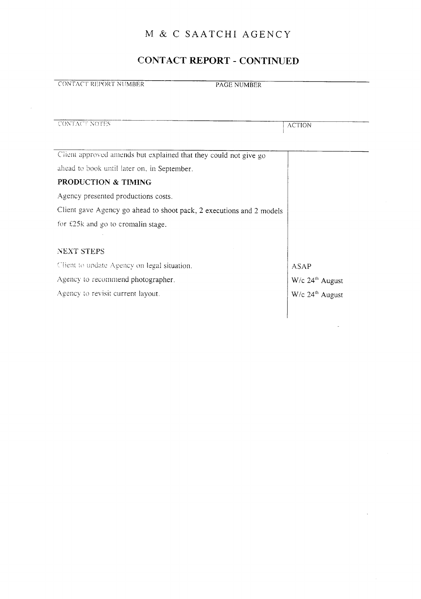## CONTACT REPORT - CONTINUED

| CONTACT REPORT NUMBER                                                | <b>PAGE NUMBER</b>            |
|----------------------------------------------------------------------|-------------------------------|
|                                                                      |                               |
| <b>CONTACT NOTES</b>                                                 | <b>ACTION</b>                 |
|                                                                      |                               |
| Client approved amends but explained that they could not give go     |                               |
| ahead to book until later on, in September.                          |                               |
| PRODUCTION & TIMING                                                  |                               |
| Agency presented productions costs.                                  |                               |
| Client gave Agency go ahead to shoot pack, 2 executions and 2 models |                               |
| for £25k and go to cromalin stage.                                   |                               |
|                                                                      |                               |
| <b>NEXT STEPS</b>                                                    |                               |
| Client to update Agency on legal situation.                          | ASAP                          |
| Agency to recommend photographer.                                    | $W/c$ 24 <sup>th</sup> August |
| Agency to revisit current layout.                                    | $W/c$ 24 <sup>th</sup> August |
|                                                                      |                               |
|                                                                      |                               |

 $\hat{\boldsymbol{\gamma}}$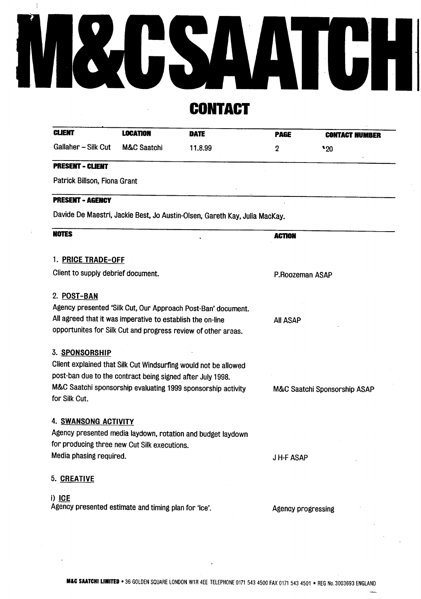# $\begin{array}{c} \hline \end{array}$ M&CSAATCHI

**CONTACT** 

| <b>CLIENT</b>                | <b>LOCATION</b> | <b>DATE</b> | <b>PAGE</b> | <b>CONTACT NUMBER</b> |
|------------------------------|-----------------|-------------|-------------|-----------------------|
| Gallaher - Silk Cut          | M&C Saatchi     | 11.8.99     | 2           | "20"                  |
| <b>PRESENT - CLIENT</b>      |                 |             |             |                       |
| Patrick Billson, Fiona Grant |                 |             |             |                       |
|                              |                 |             |             |                       |

| <b>NOTES</b>                                                    | <b>ACTION</b>                |
|-----------------------------------------------------------------|------------------------------|
|                                                                 |                              |
| 1. PRICE TRADE-OFF                                              |                              |
| Client to supply debrief document.                              | P.Roozeman ASAP              |
|                                                                 |                              |
| 2. POST-BAN                                                     |                              |
| Agency presented 'Silk Cut, Our Approach Post-Ban' document.    |                              |
| All agreed that it was imperative to establish the on-line      | <b>AII ASAP</b>              |
| opportunites for Silk Cut and progress review of other areas.   |                              |
| 3. SPONSORSHIP                                                  |                              |
| Client explained that Silk Cut Windsurfing would not be allowed |                              |
| post-ban due to the contract being signed after July 1998.      |                              |
| M&C Saatchi sponsorship evaluating 1999 sponsorship activity    | M&C Saatchi Sponsorship ASAP |
| for Silk Cut.                                                   |                              |
| 4. SWANSONG ACTIVITY                                            |                              |
| Agency presented media laydown, rotation and budget laydown     |                              |
| for producing three new Cut Silk executions.                    |                              |
| Media phasing required.                                         | <b>JH-FASAP</b>              |
| 5. CREATIVE                                                     |                              |
| i) ICE                                                          |                              |
| Agency presented estimate and timing plan for 'ice'.            | Agency progressing           |
|                                                                 |                              |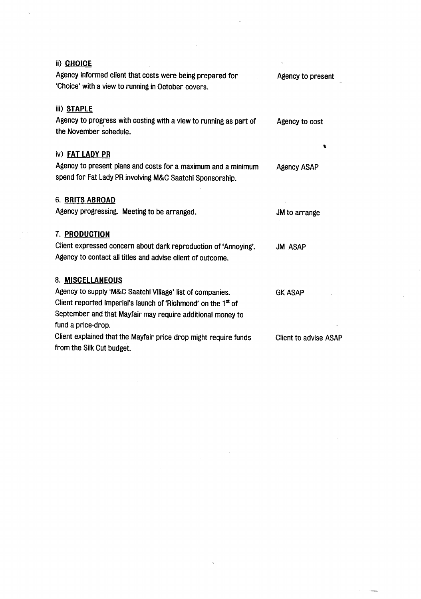| ii) CHOICE                                                                                  |                              |
|---------------------------------------------------------------------------------------------|------------------------------|
| Agency informed client that costs were being prepared for                                   | Agency to present            |
| 'Choice' with a view to running in October covers.                                          |                              |
| iii) STAPLE                                                                                 |                              |
| Agency to progress with costing with a view to running as part of<br>the November schedule. | Agency to cost               |
| iv) FAT LADY PR                                                                             |                              |
| Agency to present plans and costs for a maximum and a minimum                               | <b>Agency ASAP</b>           |
| spend for Fat Lady PR involving M&C Saatchi Sponsorship.                                    |                              |
| 6. BRITS ABROAD                                                                             |                              |
| Agency progressing. Meeting to be arranged.                                                 | JM to arrange                |
| 7. PRODUCTION                                                                               |                              |
| Client expressed concern about dark reproduction of 'Annoying'.                             | <b>JM ASAP</b>               |
| Agency to contact all titles and advise client of outcome.                                  |                              |
| 8. MISCELLANEOUS                                                                            |                              |
| Agency to supply 'M&C Saatchi Village' list of companies.                                   | <b>GK ASAP</b>               |
| Client reported Imperial's launch of 'Richmond' on the 1 <sup>st</sup> of                   |                              |
| September and that Mayfair may require additional money to                                  |                              |
| fund a price-drop.                                                                          |                              |
| Client explained that the Mayfair price drop might require funds                            | <b>Client to advise ASAP</b> |
| from the Silk Cut budget.                                                                   |                              |

 $\label{eq:2.1} \frac{1}{\sqrt{2}}\int_{0}^{\infty}\frac{1}{\sqrt{2\pi}}\left(\frac{1}{\sqrt{2\pi}}\right)^{2}d\mu\left(\frac{1}{\sqrt{2\pi}}\right)\frac{d\mu}{d\mu}d\mu\left(\frac{1}{\sqrt{2\pi}}\right).$ 

 $\mathcal{O}(\sqrt{3})$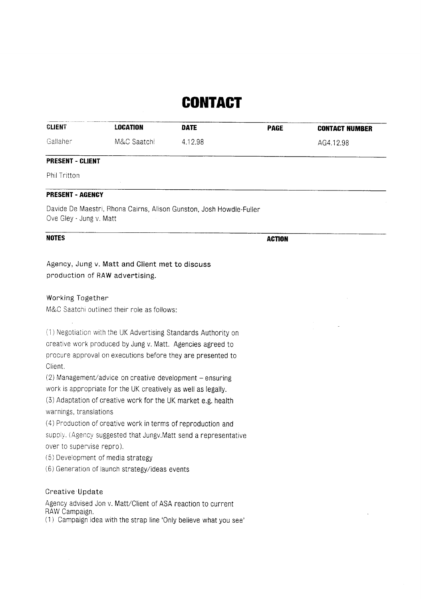## **CONTACT**

| <b>CLIENT</b>           | <b>LOCATION</b>                                                                                                                | <b>DATE</b> | <b>PAGE</b>   | <b>CONTACT NUMBER</b> |
|-------------------------|--------------------------------------------------------------------------------------------------------------------------------|-------------|---------------|-----------------------|
| Gallaher                | M&C Saatchi                                                                                                                    | 4.12.98     |               | AG4.12.98             |
| <b>PRESENT - CLIENT</b> |                                                                                                                                |             |               |                       |
| Phil Tritton            |                                                                                                                                |             |               |                       |
| <b>PRESENT - AGENCY</b> |                                                                                                                                |             |               |                       |
| Ove Gley - Jung v. Matt | Davide De Maestri, Rhona Cairns, Alison Gunston, Josh Howdle-Fuller                                                            |             |               |                       |
| <b>NOTES</b>            |                                                                                                                                |             | <b>ACTION</b> |                       |
| Working Together        | production of RAW advertising.<br>M&C Saatchi outlined their role as follows:                                                  |             |               |                       |
|                         | (1) Negotiation with the UK Advertising Standards Authority on<br>creative work produced by Jung v. Matt. Agencies agreed to   |             |               |                       |
| Client.                 | procure approval on executions before they are presented to                                                                    |             |               |                       |
|                         | $(2)$ Management/advice on creative development – ensuring<br>work is appropriate for the UK creatively as well as legally.    |             |               |                       |
| warnings, translations  | (3) Adaptation of creative work for the UK market e.g. health                                                                  |             |               |                       |
|                         | (4) Production of creative work in terms of reproduction and<br>eupply (Adoppy eudogeted that lungy Matt cond a concessatative |             |               |                       |

supply. (Agency suggested that Jungv.Matt send a representative over to supervise repro).

(5) Development of media strategy

(6) Generation of launch strategy/ideas events

#### Creative Update

Agency advised Jon v. Matt/Client of ASA reaction to current RAW Campaign.

(1) Campaign idea with the strap line `Only believe what you see'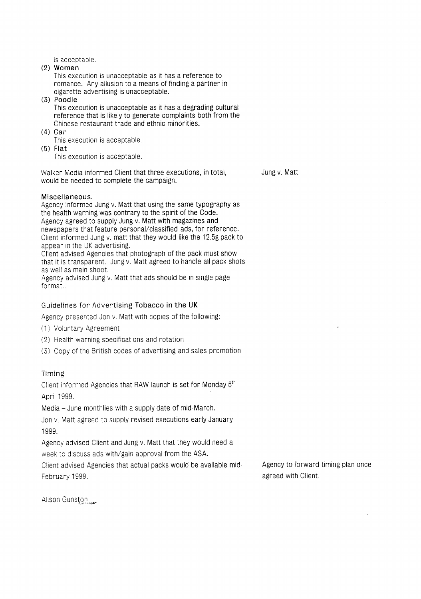is acceptable .

(2) Women

This execution is unacceptable as it has a reference to romance. Any allusion to a means of finding a partner in cigarette advertising is unacceptable .

- (3) Poodle This execution is unacceptable as it has a degrading cultural reference that is likely to generate complaints both from the Chinese restaurant trade and ethnic minorities.
- (4) Car

This execution is acceptable.

(5) Flat

This execution is acceptable.

Walker Media informed Client that three executions, in total, Jung v. Matt would be needed to complete the campaign.

#### Miscellaneous.

Agency informed Jung v. Matt that using the same typography as the health warning was contrary to the spirit of the Code. Agency agreed to supply Jung v. Matt with magazines and newspapers that feature personal/classified ads, for reference . Client informed Jung v. matt that they would like the 12.58 pack to appear in the UK advertising.

Client advised Agencies that photograph of the pack must show that it is transparent. Jung v. Matt agreed to handle all pack shots as well as main shoot.

Agency advised Jung v. Matt that ads should be in single page format. .

#### Guidelines for Advertising Tobacco in the UK

Agency presented Jon v. Matt with copies of the following:

- (1) Voluntary Agreement
- (2) Health warning specifications and rotation
- (3) Copy of the British codes of advertising and sales promotion

#### Timing

Client informed Agencies that RAW launch is set for Monday 5<sup>th</sup> April 1999.

Media - June monthlies with a supply date of mid-March.

Jon v. Matt agreed to supply revised executions early January 1999.

Agency advised Client and Jung v. Matt that they would need a week to discuss ads with/gain approval from the ASA.

Client advised Agencies that actual packs would be available mid- Agency to forward timing plan once February 1999. **A substitute of the Contract of the Client .** A set of the contract of the contract of the contract of the contract of the contract of the contract of the contract of the contract of the contract of the con

Alison Gunston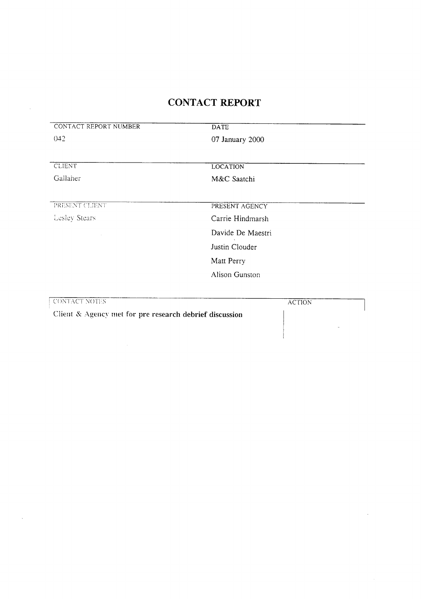| CONTACT REPORT NUMBER | <b>DATE</b>                   |
|-----------------------|-------------------------------|
| 042                   | 07 January 2000               |
|                       |                               |
| <b>CLIENT</b>         | <b>LOCATION</b>               |
| Gallaher              | M&C Saatchi                   |
| PRESENT CLIENT        | PRESENT AGENCY                |
| Lesley Stears         | Carrie Hindmarsh              |
|                       | Davide De Maestri             |
|                       | Justin Clouder                |
|                       | Matt Perry                    |
|                       | Alison Gunston                |
|                       |                               |
| CONTACT NOTES         | <b>ACTION</b><br>$\mathbf{L}$ |

Client & Agency met for pre research debrief discussion

 $\mathcal{A}^{\mathcal{A}}$ 

 $\sim$ 

 $\overline{\phantom{a}}$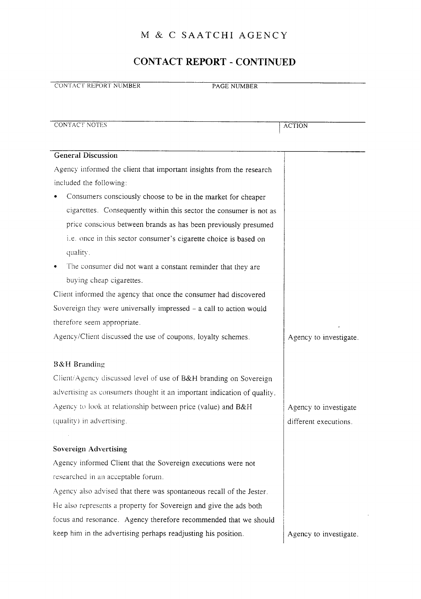## CONTACT REPORT - CONTINUED

| CONTACT REPORT NUMBER<br>PAGE NUMBER                                         |                        |
|------------------------------------------------------------------------------|------------------------|
|                                                                              |                        |
| <b>CONTACT NOTES</b>                                                         | <b>ACTION</b>          |
| <b>General Discussion</b>                                                    |                        |
| Agency informed the client that important insights from the research         |                        |
| included the following:                                                      |                        |
| Consumers consciously choose to be in the market for cheaper                 |                        |
| cigarettes. Consequently within this sector the consumer is not as           |                        |
| price conscious between brands as has been previously presumed               |                        |
| i.e. once in this sector consumer's cigarette choice is based on<br>quality. |                        |
| The consumer did not want a constant reminder that they are                  |                        |
| buying cheap cigarettes.                                                     |                        |
| Client informed the agency that once the consumer had discovered             |                        |
| Sovereign they were universally impressed - a call to action would           |                        |
| therefore seem appropriate.                                                  |                        |
| Agency/Client discussed the use of coupons, loyalty schemes.                 | Agency to investigate. |
| <b>B&amp;H</b> Branding                                                      |                        |
| Client/Agency discussed level of use of B&H branding on Sovereign            |                        |
| advertising as consumers thought it an important indication of quality.      |                        |
| Agency to look at relationship between price (value) and B&H                 | Agency to investigate  |
| (quality) in advertising.                                                    | different executions.  |
|                                                                              |                        |
| <b>Sovereign Advertising</b>                                                 |                        |
| Agency informed Client that the Sovereign executions were not                |                        |
| researched in an acceptable forum.                                           |                        |
| Agency also advised that there was spontaneous recall of the Jester.         |                        |
| He also represents a property for Sovereign and give the ads both            |                        |
| focus and resonance. Agency therefore recommended that we should             |                        |
| keep him in the advertising perhaps readjusting his position.                | Agency to investigate. |

 $\bar{z}$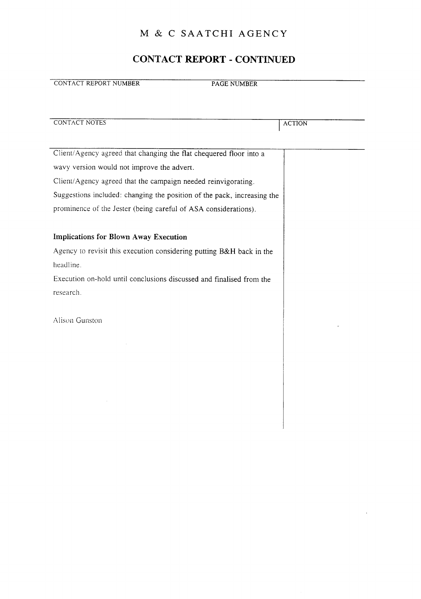## CONTACT REPORT - CONTINUED

| <b>CONTACT REPORT NUMBER</b><br><b>PAGE NUMBER</b>                      |               |
|-------------------------------------------------------------------------|---------------|
|                                                                         |               |
| <b>CONTACT NOTES</b>                                                    |               |
|                                                                         | <b>ACTION</b> |
|                                                                         |               |
| Client/Agency agreed that changing the flat chequered floor into a      |               |
| wavy version would not improve the advert.                              |               |
| Client/Agency agreed that the campaign needed reinvigorating.           |               |
| Suggestions included: changing the position of the pack, increasing the |               |
| prominence of the Jester (being careful of ASA considerations).         |               |
|                                                                         |               |
| <b>Implications for Blown Away Execution</b>                            |               |
| Agency to revisit this execution considering putting B&H back in the    |               |
| headline.                                                               |               |
| Execution on-hold until conclusions discussed and finalised from the    |               |
| research.                                                               |               |
|                                                                         |               |
| Alison Gunston                                                          |               |
|                                                                         |               |
|                                                                         |               |
|                                                                         |               |
|                                                                         |               |
|                                                                         |               |
|                                                                         |               |
|                                                                         |               |
|                                                                         |               |
|                                                                         |               |

 $\bar{z}$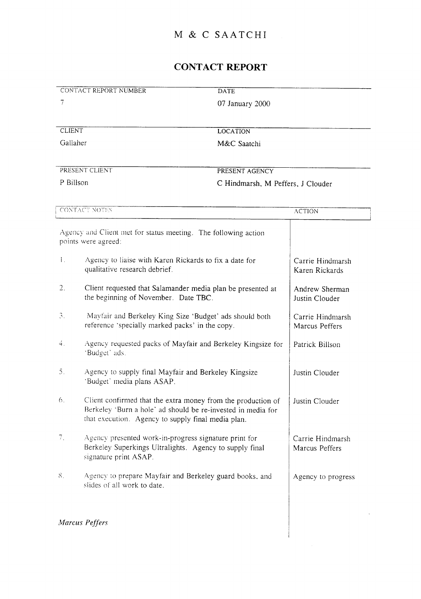## M & C SAATCHI

## CONTACT REPORT

| CONTACT REPORT NUMBER | <b>DATE</b>                       |
|-----------------------|-----------------------------------|
|                       | 07 January 2000                   |
|                       |                                   |
| <b>CLIENT</b>         | <b>LOCATION</b>                   |
| Gallaher              | M&C Saatchi                       |
|                       |                                   |
| PRESENT CLIENT        | PRESENT AGENCY                    |
| P Billson             | C Hindmarsh, M Peffers, J Clouder |

|              | CONTACT NOTES                                                                                                                                                                      | <b>ACTION</b>                      |
|--------------|------------------------------------------------------------------------------------------------------------------------------------------------------------------------------------|------------------------------------|
|              | Agency and Client met for status meeting. The following action<br>points were agreed:                                                                                              |                                    |
| $\mathbf{L}$ | Agency to liaise with Karen Rickards to fix a date for<br>qualitative research debrief.                                                                                            | Carrie Hindmarsh<br>Karen Rickards |
| 2.           | Client requested that Salamander media plan be presented at<br>the beginning of November. Date TBC.                                                                                | Andrew Sherman<br>Justin Clouder   |
| 3.           | Mayfair and Berkeley King Size 'Budget' ads should both<br>reference 'specially marked packs' in the copy.                                                                         | Carrie Hindmarsh<br>Marcus Peffers |
| 4.           | Agency requested packs of Mayfair and Berkeley Kingsize for<br>'Budget' ads.                                                                                                       | Patrick Billson                    |
| 5.           | Agency to supply final Mayfair and Berkeley Kingsize<br>'Budget' media plans ASAP.                                                                                                 | Justin Clouder                     |
| 6.           | Client confirmed that the extra money from the production of<br>Berkeley 'Burn a hole' ad should be re-invested in media for<br>that execution. Agency to supply final media plan. | Justin Clouder                     |
| $7_{\odot}$  | Agency presented work-in-progress signature print for<br>Berkeley Superkings Ultralights. Agency to supply final<br>signature print ASAP.                                          | Carrie Hindmarsh<br>Marcus Peffers |
| 8.           | Agency to prepare Mayfair and Berkeley guard books, and<br>slides of all work to date.                                                                                             | Agency to progress                 |
|              |                                                                                                                                                                                    |                                    |

 $\overline{\phantom{a}}$ 

Marcus Peffers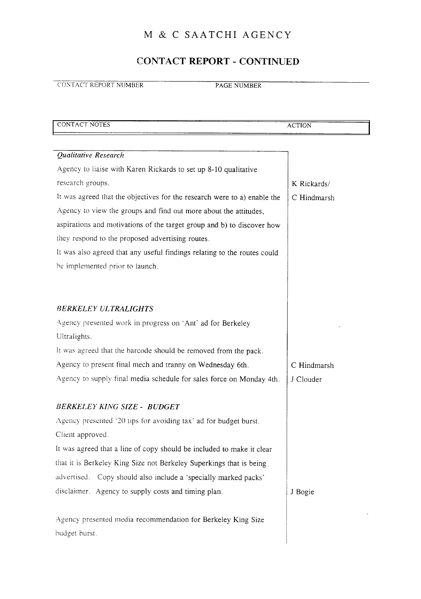## CONTACT REPORT - CONTINUED

CONTACT REPORT NUMBER PAGE NUMBER

| CONTACT NOTES                                                            | <b>ACTION</b> |
|--------------------------------------------------------------------------|---------------|
|                                                                          |               |
| Qualitative Research                                                     |               |
| Agency to liaise with Karen Rickards to set up 8-10 qualitative          |               |
| research groups.                                                         | K Rickards/   |
| It was agreed that the objectives for the research were to a) enable the | C Hindmarsh   |
| Agency to view the groups and find out more about the attitudes,         |               |
| aspirations and motivations of the target group and b) to discover how   |               |
| they respond to the proposed advertising routes.                         |               |
| It was also agreed that any useful findings relating to the routes could |               |
| be implemented prior to launch.                                          |               |
|                                                                          |               |
|                                                                          |               |
| <b>BERKELEY ULTRALIGHTS</b>                                              |               |
| Agency presented work in progress on 'Ant' ad for Berkeley               |               |
| Ultralights.                                                             |               |
| It was agreed that the barcode should be removed from the pack.          |               |
| Agency to present final mech and tranny on Wednesday 6th.                | C Hindmarsh   |
| Agency to supply final media schedule for sales force on Monday 4th.     | J Clouder     |
|                                                                          |               |
| <b>BERKELEY KING SIZE - BUDGET</b>                                       |               |
| Agency presented '20 tips for avoiding tax' ad for budget burst.         |               |
| Client approved.                                                         |               |
| It was agreed that a line of copy should be included to make it clear    |               |
| that it is Berkeley King Size not Berkeley Superkings that is being      |               |
| advertised. Copy should also include a 'specially marked packs'          |               |
| disclaimer. Agency to supply costs and timing plan.                      | J Bogie       |
|                                                                          |               |
| Agency presented media recommendation for Berkeley King Size             |               |
| budget burst.                                                            |               |
|                                                                          |               |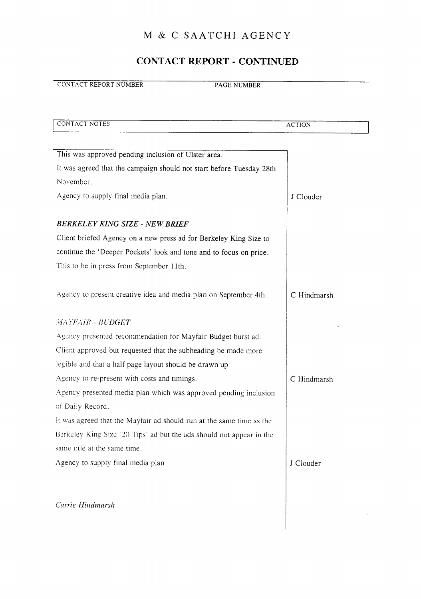#### CONTACT REPORT - CONTINUED

**CONTACT REPORT NUMBER PAGE NUMBER** 

CONTACT NOTES ACTION This was approved pending inclusion of Ulster area. It was agreed that the campaign should not start before Tuesday 28th November Agency to supply final media plan.  $J$  J Clouder BERKELEY KING SIZE - NEW BRIEF Client briefed Agency on <sup>a</sup> new press ad for Berkeley King Size to continue the 'Deeper Pockets' look and tone and to focus on price. This to be in press from September <sup>1</sup> Ith. Agency to present creative idea and media plan on September 4th. C Hindmarsh MAYFAIR - BUDGET Agency presented recommendation for Mayfair Budget burst ad . Client approved but requested that the subheading be made more legible and that <sup>a</sup> half page layout should be drawn up Agency to re-present with costs and timings.  $\begin{array}{c|c}\n\hline\n\end{array}$  C Hindmarsh Agency presented media plan which was approved pending inclusion of Daily Record. It was agreed that the Mayfair ad should run at the same time as the Berkeley King Size '20 Tips' ad but the ads should not appear in the same title at the same time. Agency to supply final media plan J Clouder Carrie Hindmarsh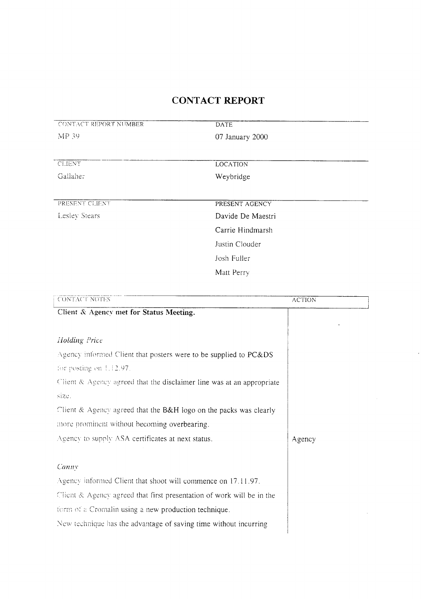| CONTACT REPORT NUMBER | DATE              |
|-----------------------|-------------------|
| MP 39                 | 07 January 2000   |
|                       |                   |
|                       |                   |
| <b>CLIENT</b>         | <b>LOCATION</b>   |
| Gallaher              | Weybridge         |
|                       |                   |
|                       |                   |
| PRESENT CLIENT        | PRESENT AGENCY    |
| Lesley Stears         | Davide De Maestri |
|                       | Carrie Hindmarsh  |
|                       | Justin Clouder    |
|                       | Josh Fuller       |
|                       | Matt Perry        |
|                       |                   |

| <b>CONTACT NOTES</b>                                                  | <b>ACTION</b> |
|-----------------------------------------------------------------------|---------------|
| Client & Agency met for Status Meeting.                               |               |
|                                                                       |               |
| Holding Price                                                         |               |
| Agency informed Client that posters were to be supplied to PC&DS      |               |
| for posting on 1.12.97.                                               |               |
| Client & Agency agreed that the disclaimer line was at an appropriate |               |
| size.                                                                 |               |
| Client & Agency agreed that the B&H logo on the packs was clearly     |               |
| more prominent without becoming overbearing.                          |               |
| Agency to supply ASA certificates at next status.                     | Agency        |
|                                                                       |               |
| Canny                                                                 |               |
| Agency informed Client that shoot will commence on 17.11.97.          |               |
| Client & Agency agreed that first presentation of work will be in the |               |
| form of a Cromalin using a new production technique.                  |               |
| New technique has the advantage of saving time without incurring      |               |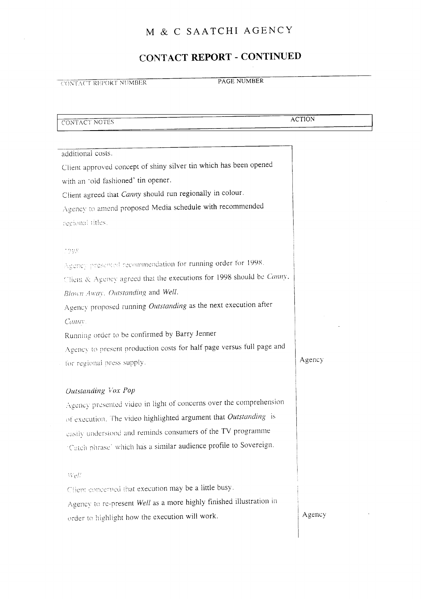#### CONTACT REPORT - CONTINUED

CONTACT REPORT NUMBER PAGE NUMBER

CONTACT NOTES ACTION

additional costs. Client approved concept of shiny silver tin which has been opened with an 'old fashioned' tin opener. Client agreed that Canny should run regionally in colour. Agency to amend proposed Media schedule with recommended regional titles. 1998 ' recommendation for running order for 1998 . Client & Agency agreed that the executions for 1998 should be Canny, Blown Away. Outstanding and Well. Agency proposed running Outstanding as the next execution after Canny. Running order to be confirmed by Barry Jenner Agency to present production costs for half page versus full page and Agency for regional press supply Outstanding Vox Pop Agency presented video in light of concerns over the comprehension of execution. The video highlighted argument that Outstanding is understood and reminds consumers of the TV programme 'Catch phrase' which has <sup>a</sup> similar audience profile to Sovereign  $WeE$ Client concerned that execution may be a little busy. Agency to re-present Well as a more highly finished illustration in order to highlight how the execution will work.

Agency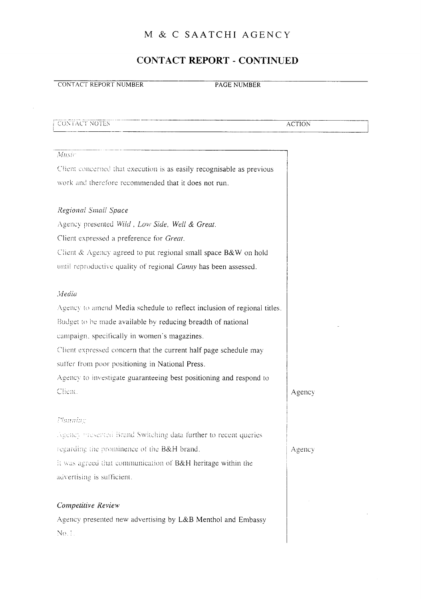#### CONTACT REPORT - CONTINUED

#### **CONTACT REPORT NUMBER PAGE NUMBER**

#### CONTACT NOTES ACTION

## Music Client concerned that execution is as easily recognisable as previous work and therefore recommended that it does not run. Regional Small Space Agency presented Wild, Low Side, Well & Great. Client expressed a preference for Great. Client & Agency agreed to put regional small space B&W on hold until reproductive quality of regional Canny has been assessed. Media Agency to amend Media schedule to reflect inclusion of regional titles. Budget to be made available by reducing breadth of national campaign, specifically in women's magazines . Client expressed concern that the current half page schedule may suffer from poor positioning in National Press. Agency to investigate guaranteeing best positioning and respond to Client. AgencyPlanning ill spency presented Brand Switching data further to recent queries regarding the prominence of the B&H brand.  $\vert$  Agency it was agreed that communication of  $B\&H$  heritage within the advertising is sufficient. Competitive Review Agency presented new advertising by L&B Menthol and Embassy No. ! .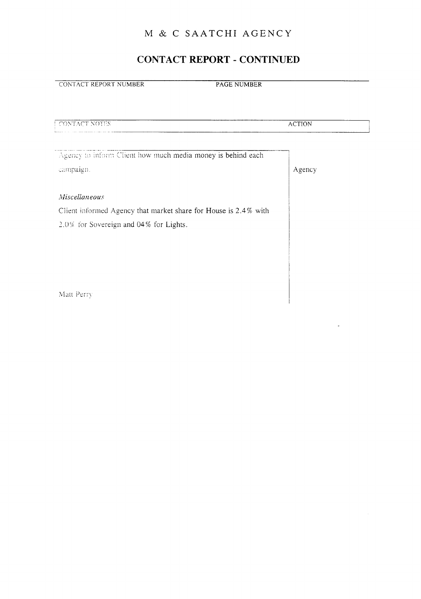#### CONTACT REPORT - CONTINUED

**CONTACT REPORT NUMBER** PAGE NUMBER

| CONTACT NOTES                                                   | <b>ACTION</b> |
|-----------------------------------------------------------------|---------------|
|                                                                 |               |
| Agency to inform Client how much media money is behind each     |               |
| campaign.                                                       | Agency        |
|                                                                 |               |
| Miscellaneous                                                   |               |
| Client informed Agency that market share for House is 2.4% with |               |
| 2.0% for Sovereign and 04% for Lights.                          |               |
|                                                                 |               |
|                                                                 |               |
|                                                                 |               |
|                                                                 |               |

Matt Perry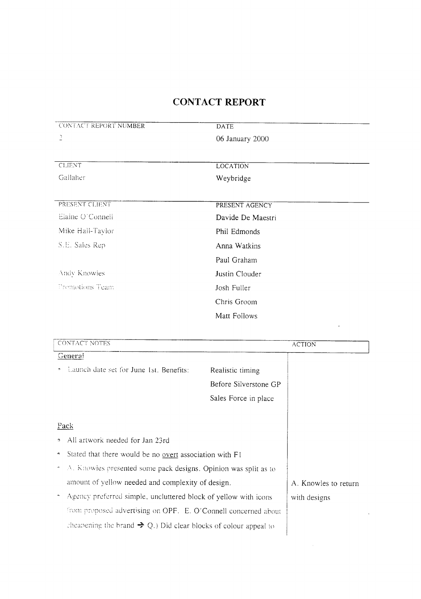| <b>CONTACT REPORT NUMBER</b>                                                             | <b>DATE</b>           |  |
|------------------------------------------------------------------------------------------|-----------------------|--|
| $\mathbb{C}$                                                                             | 06 January 2000       |  |
| <b>CLIENT</b>                                                                            | <b>LOCATION</b>       |  |
| Gailaher                                                                                 | Weybridge             |  |
| PRESENT CLIENT                                                                           | PRESENT AGENCY        |  |
| Elaine O'Connell                                                                         | Davide De Maestri     |  |
| Mike Hall-Taylor                                                                         | Phil Edmonds          |  |
| S.E. Sales Rep                                                                           | Anna Watkins          |  |
|                                                                                          | Paul Graham           |  |
| Andy Knowles                                                                             | Justin Clouder        |  |
| Premotions Team                                                                          | Josh Fuller           |  |
|                                                                                          | Chris Groom           |  |
|                                                                                          | Matt Follows          |  |
| CONTACT NOTES                                                                            | <b>ACTION</b>         |  |
| General                                                                                  |                       |  |
| Launch date set for June 1st. Benefits:                                                  | Realistic timing      |  |
|                                                                                          | Before Silverstone GP |  |
|                                                                                          | Sales Force in place  |  |
|                                                                                          |                       |  |
| Pack                                                                                     |                       |  |
| All artwork needed for Jan 23rd<br>O.                                                    |                       |  |
| Stated that there would be no overt association with F1<br>e,                            |                       |  |
| A. Knowles presented some pack designs. Opinion was split as to<br>$\tilde{\phantom{a}}$ |                       |  |

- amount of yellow needed and complexity of design.
- Agency preferred simple, uncluttered block of yellow with icons from proposed advertising on OPF. E. O'Connell concerned about cheapening the brand  $\Rightarrow$  Q.) Did clear blocks of colour appeal to

A. Knowles to return with designs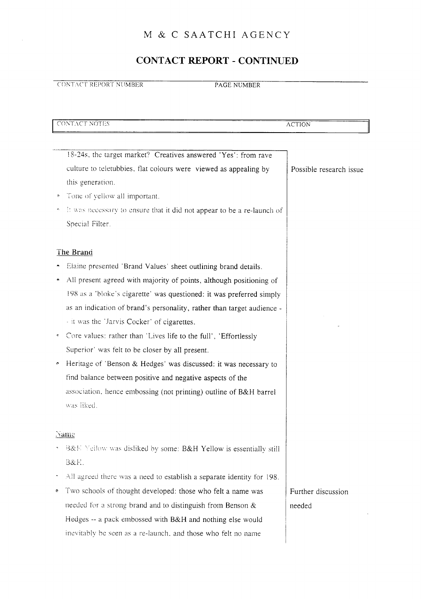## CONTACT REPORT - CONTINUED

**CONTACT REPORT NUMBER PAGE NUMBER** 

| CONTACT NOTES                                                                                                                                                                                                                                                                                                                                                                                                                                                                                                                                                                                                                                                                                       | <b>ACTION</b>                |
|-----------------------------------------------------------------------------------------------------------------------------------------------------------------------------------------------------------------------------------------------------------------------------------------------------------------------------------------------------------------------------------------------------------------------------------------------------------------------------------------------------------------------------------------------------------------------------------------------------------------------------------------------------------------------------------------------------|------------------------------|
| 18-24s, the target market? Creatives answered 'Yes': from rave<br>culture to teletubbies, flat colours were viewed as appealing by<br>this generation.<br>Tone of yellow all important.<br>۰<br>It was necessary to ensure that it did not appear to be a re-launch of<br>Special Filter.                                                                                                                                                                                                                                                                                                                                                                                                           | Possible research issue      |
| The Brand<br>Elaine presented 'Brand Values' sheet outlining brand details.<br>All present agreed with majority of points, although positioning of<br>198 as a 'bloke's cigarette' was questioned: it was preferred simply<br>as an indication of brand's personality, rather than target audience -<br>- it was the 'Jarvis Cocker' of cigarettes.<br>Core values: rather than 'Lives life to the full', 'Effortlessly<br>Superior' was felt to be closer by all present.<br>Heritage of 'Benson & Hedges' was discussed: it was necessary to<br>۰<br>find balance between positive and negative aspects of the<br>association, hence embossing (not printing) outline of B&H barrel<br>was liked. |                              |
| <u>Name</u><br>B&E Yellow was disliked by some: B&H Yellow is essentially still<br>B&H.<br>All agreed there was a need to establish a separate identity for 198.<br>Two schools of thought developed: those who felt a name was<br>۰<br>needed for a strong brand and to distinguish from Benson &<br>Hedges -- a pack embossed with B&H and nothing else would<br>inevitably be seen as a re-launch, and those who felt no name                                                                                                                                                                                                                                                                    | Further discussion<br>needed |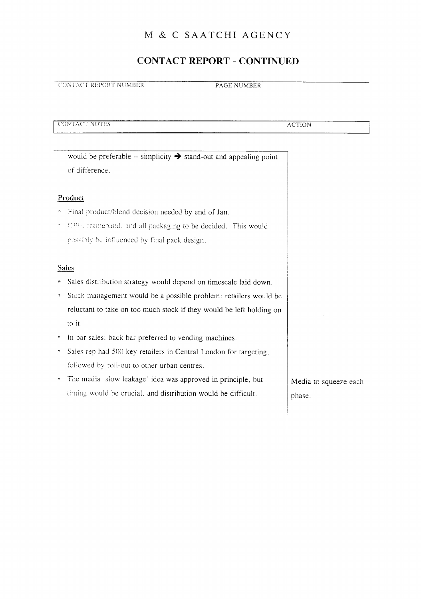#### CONTACT REPORT - CONTINUED

CONTACT REPORT NUMBER PAGE NUMBER

<sup>i</sup> CON I~AC <sup>1</sup> NOTES ACTION

would be preferable  $-$  simplicity  $\rightarrow$  stand-out and appealing point of difference .

#### Product

- final product/blend decision needed by end of Jan.
- and all packaging to be decided. This would possibly be influenced by final pack design.

#### Sales

- Sales distribution strategy would depend on timescale laid down.
- Stock management would be <sup>a</sup> possible problem : retailers would be reluctant to take on too much stock if they would be left holding on to it .
- ^ In-bar sales : back bar preferred to vending machines .
- Sales rep had 500 key retailers in Central London for targeting. followed by roll-out to other urban centres.
- The media 'slow leakage' idea was approved in principle, but timing would be crucial, and distribution would be difficult.

Media to squeeze each phase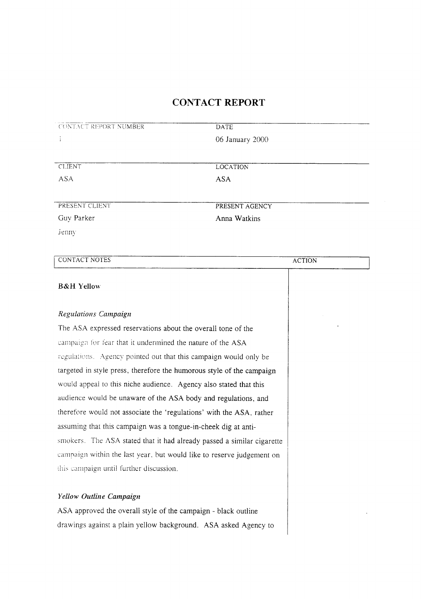| CONTACT REPORT NUMBER                                                  | DATE            |               |
|------------------------------------------------------------------------|-----------------|---------------|
|                                                                        | 06 January 2000 |               |
|                                                                        |                 |               |
| <b>CLIENT</b>                                                          | <b>LOCATION</b> |               |
| <b>ASA</b>                                                             | <b>ASA</b>      |               |
|                                                                        |                 |               |
| PRESENT CLIENT                                                         | PRESENT AGENCY  |               |
| Guy Parker                                                             | Anna Watkins    |               |
| Jenny                                                                  |                 |               |
|                                                                        |                 |               |
| <b>CONTACT NOTES</b>                                                   |                 | <b>ACTION</b> |
|                                                                        |                 |               |
| <b>B&amp;H Yellow</b>                                                  |                 |               |
| <b>Regulations Campaign</b>                                            |                 |               |
| The ASA expressed reservations about the overall tone of the           |                 |               |
|                                                                        |                 |               |
| campaign for fear that it undermined the nature of the ASA             |                 |               |
| regulations. Agency pointed out that this campaign would only be       |                 |               |
| targeted in style press, therefore the humorous style of the campaign  |                 |               |
| would appeal to this niche audience. Agency also stated that this      |                 |               |
| audience would be unaware of the ASA body and regulations, and         |                 |               |
| therefore would not associate the 'regulations' with the ASA, rather   |                 |               |
| assuming that this campaign was a tongue-in-cheek dig at anti-         |                 |               |
| smokers. The ASA stated that it had already passed a similar cigarette |                 |               |
| campaign within the last year, but would like to reserve judgement on  |                 |               |
| this campaign until further discussion.                                |                 |               |
|                                                                        |                 |               |
| Yellow Outline Campaign                                                |                 |               |
| ASA approved the overall style of the campaign - black outline         |                 |               |
| drawings against a plain yellow background. ASA asked Agency to        |                 |               |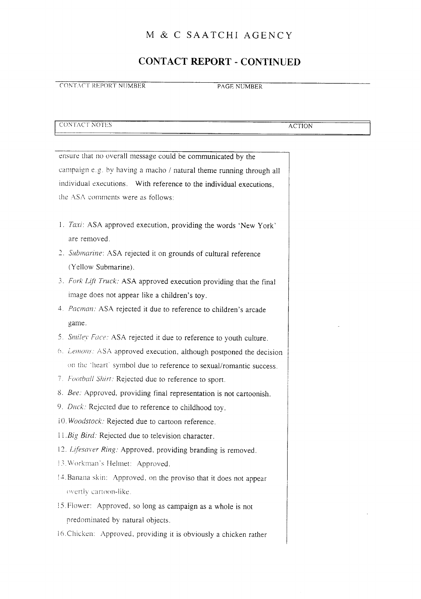#### CONTACT REPORT - CONTINUED

CONTACT NOTES ACTION

CONTACT REPORT NUMBER PAGE NUMBER

ensure that no overall message could be communicated by the campaign e.g. by having <sup>a</sup> macho / natural theme running through all individual executions. With reference to the individual executions, the ASA comments were as follows: 1. Taxi: ASA approved execution, providing the words 'New York' are removed . 2. Submarine: ASA rejected it on grounds of cultural reference (Yellow Submarine). 3. Fork Lift Truck: ASA approved execution providing that the final image does not appear like a children's toy . 4. Pacman: ASA rejected it due to reference to children's arcade game. 5. Smiley Face: ASA rejected it due to reference to youth culture. 6. Lemons: ASA approved execution, although postponed the decision on the 'heart' symbol due to reference to sexual/romantic success. 7 . Football Shirt. Rejected due to reference to sport. 8. Bee: Approved, providing final representation is not cartoonish. 9. Duck: Rejected due to reference to childhood toy. i0. Woodstock: Rejected due to cartoon reference. 11. Big Bird: Rejected due to television character. 12. Lifesaver Ring. Approved, providing branding is removed. 13. Workman's Helmet: Approved. 14. Banana skin: Approved, on the proviso that it does not appear overtlv cartoon-like 15 Flower: Approved, so long as campaign as a whole is not predominated by natural objects . 16 Chicken: Approved, providing it is obviously a chicken rather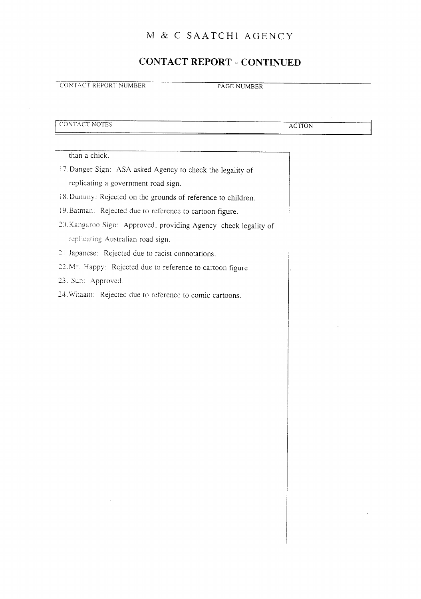#### CONTACT REPORT - CONTINUED

**CONTACT REPORT NUMBER PAGE NUMBER** 

CONTACT NOTES ACTION

than a chick.

- 17 Danger Sign: ASA asked Agency to check the legality of replicating a government road sign.
- 18. Dummy: Rejected on the grounds of reference to children.
- 19 .Batman: Rejected due to reference to cartoon figure.
- 20.Kangaroo Sign: Approved, providing Agency check legality of : - eplicating Australian road sign.
- 21 Japanese: Rejected due to racist connotations.
- 22. Mr. Happy: Rejected due to reference to cartoon figure.
- 23. Sun: Approved.
- 24 . Whaam: Rejected due to reference to comic cartoons.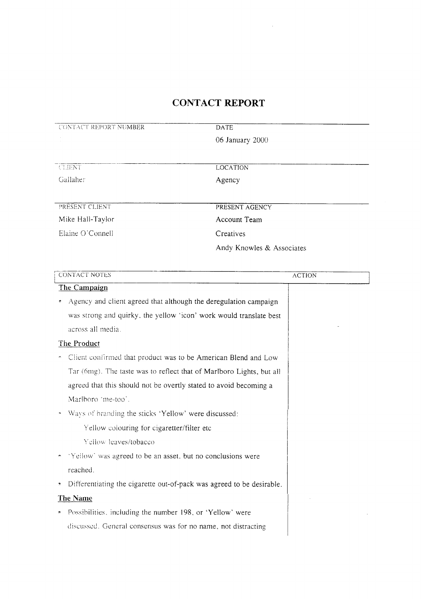$\mathcal{L}^{\text{max}}_{\text{max}}$  ,  $\mathcal{L}^{\text{max}}_{\text{max}}$ 

| 06 January 2000                                                       |               |
|-----------------------------------------------------------------------|---------------|
|                                                                       |               |
|                                                                       |               |
| <b>LOCATION</b><br>CLIENT                                             |               |
| Gallaher<br>Agency                                                    |               |
|                                                                       |               |
| PRESENT CLIENT<br>PRESENT AGENCY                                      |               |
| Account Team<br>Mike Hall-Taylor                                      |               |
| Elaine O'Connell<br>Creatives                                         |               |
| Andy Knowles & Associates                                             |               |
|                                                                       |               |
| <b>CONTACT NOTES</b>                                                  | <b>ACTION</b> |
| The Campaign                                                          |               |
| Agency and client agreed that although the deregulation campaign      |               |
| was strong and quirky, the yellow 'icon' work would translate best    |               |
| across all media.                                                     |               |
| The Product                                                           |               |
| Client confirmed that product was to be American Blend and Low        |               |
| Tar (6mg). The taste was to reflect that of Marlboro Lights, but all  |               |
| agreed that this should not be overtly stated to avoid becoming a     |               |
| Marlboro 'me-too'.                                                    |               |
| Ways of branding the sticks 'Yellow' were discussed:                  |               |
| Yellow colouring for cigaretter/filter etc                            |               |
| Yellow leaves/tobacco                                                 |               |
| 'Yellow' was agreed to be an asset, but no conclusions were           |               |
| reached.                                                              |               |
| Differentiating the cigarette out-of-pack was agreed to be desirable. |               |
| <b>The Name</b>                                                       |               |
| Possibilities, including the number 198, or 'Yellow' were             |               |
| discussed. General consensus was for no name, not distracting         |               |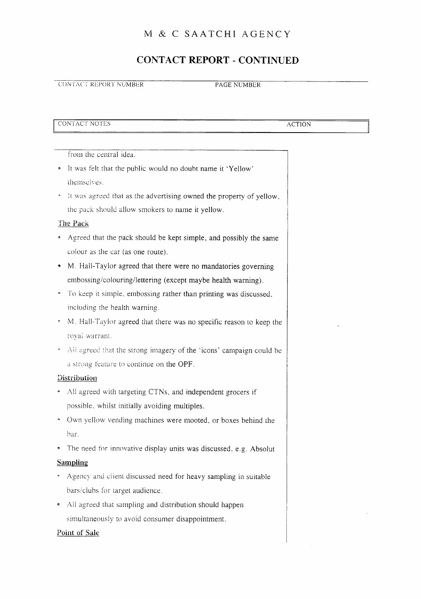#### CONTACT REPORT - CONTINUED

#### **CONTACT REPORT NUMBER PAGE NUMBER**

CONTACT NOTES ACTION

 $\bar{z}$ 

 $\hat{\mathcal{L}}$ 

|                     | from the central idea.                                              |  |  |
|---------------------|---------------------------------------------------------------------|--|--|
| 3                   | It was felt that the public would no doubt name it 'Yellow'         |  |  |
|                     | themselves.                                                         |  |  |
|                     | It was agreed that as the advertising owned the property of yellow, |  |  |
|                     | the pack should allow smokers to name it yellow.                    |  |  |
|                     | The Pack                                                            |  |  |
| ġ,                  | Agreed that the pack should be kept simple, and possibly the same   |  |  |
|                     | colour as the car (as one route).                                   |  |  |
| 9                   | M. Hall-Taylor agreed that there were no mandatories governing      |  |  |
|                     | embossing/colouring/lettering (except maybe health warning).        |  |  |
|                     | To keep it simple, embossing rather than printing was discussed,    |  |  |
|                     | including the health warning.                                       |  |  |
| $\hat{\mathcal{C}}$ | M. Hall-Taylor agreed that there was no specific reason to keep the |  |  |
|                     | royal warrant.                                                      |  |  |
|                     | All agreed that the strong imagery of the 'icons' campaign could be |  |  |
|                     | a strong feature to continue on the OPF.                            |  |  |
|                     | Distribution                                                        |  |  |
|                     | All agreed with targeting CTNs, and independent grocers if          |  |  |
|                     | possible, whilst initially avoiding multiples.                      |  |  |
|                     | Own yellow vending machines were mooted, or boxes behind the        |  |  |
|                     | bar.                                                                |  |  |
|                     | The need for innovative display units was discussed, e.g. Absolut   |  |  |
|                     | <b>Sampling</b>                                                     |  |  |
|                     | Agency and client discussed need for heavy sampling in suitable     |  |  |
|                     | bars/clubs for target audience.                                     |  |  |
| ę                   | All agreed that sampling and distribution should happen             |  |  |
|                     | simultaneously to avoid consumer disappointment.                    |  |  |
| Point of Sale       |                                                                     |  |  |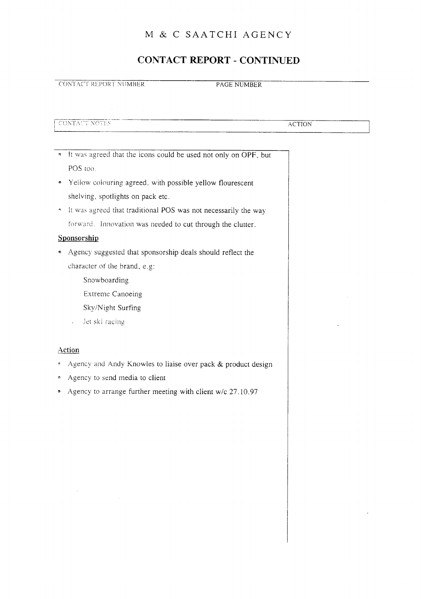#### CONTACT REPORT - CONTINUED

**CONTACT REPORT NUMBER PAGE NUMBER** 

CONTACT NO

**ACTION** 

- It was agreed that the icons could be used not only on OPF, but POS too.
- Yellow colouring agreed, with possible yellow flourescent shelving, spotlights on pack etc.
- $\gamma$  it was agreed that traditional POS was not necessarily the way forward. Innovation was needed to cut through the clutter.

#### Sponsorship

- Agency suggested that sponsorship deals should reflect the character of the brand, e.g.
	- Snowboarding
	- Extreme Canoeing
	- Sky/Night Surfing
	- . iet ski -acing

#### Action

- Agency and Andy Knowles to liaise over pack & product design
- Agency to send media to client
- Agency to arrange further meeting with client w/c 27.10 .97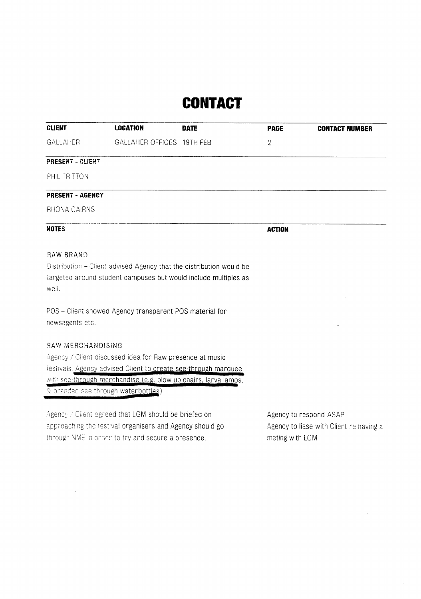## **CONTACT**

| <b>CLIENT</b>            | <b>LOCATION</b>                                                                                                                        | <b>DATE</b> | <b>PAGE</b>   | <b>CONTACT NUMBER</b> |
|--------------------------|----------------------------------------------------------------------------------------------------------------------------------------|-------------|---------------|-----------------------|
| GALLAHER                 | GALLAHER OFFICES 19TH FEB                                                                                                              |             | 2             |                       |
| PRESENT - CLIENT         |                                                                                                                                        |             |               |                       |
| PHIL TRITTON             |                                                                                                                                        |             |               |                       |
| PRESENT - AGENCY         |                                                                                                                                        |             |               |                       |
| RHONA CAIRNS             |                                                                                                                                        |             |               |                       |
| <b>NOTES</b>             |                                                                                                                                        |             | <b>ACTION</b> |                       |
| RAW BRAND<br>well.       | Distribution - Client advised Agency that the distribution would be<br>targeted around student campuses but would include multiples as |             |               |                       |
| newsagents etc.          | POS - Client showed Agency transparent POS material for                                                                                |             |               |                       |
| <b>RAW MERCHANDISING</b> |                                                                                                                                        |             |               |                       |
|                          | Agency / Client discussed idea for Raw presence at music                                                                               |             |               |                       |
|                          | festivals. Agency advised Client to create see-through marquee                                                                         |             |               |                       |
|                          | with see-through merchandise (e.g. blow up chairs, larva lamps,                                                                        |             |               |                       |

& branded see through waterbottles)

 $\mathbb{R}^2$ 

Agency: / Client agreed that LGM should be briefed on Agency to respond ASAP approaching the festival organisers and Agency should go Agency to liase with Client re having a through NME in order to try and secure a presence. The meting with LGM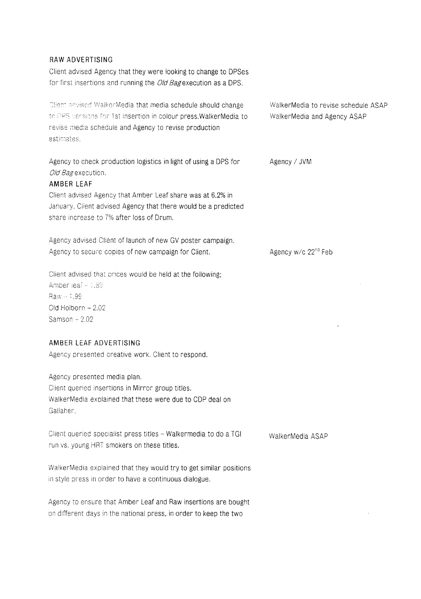#### RAW ADVERTISING

Client advised Agency that they were looking to change to DPSes for first insertions and running the Old Bagexecution as a DPS.

Client advised WalkerMedia that media schedule should change WalkerMedia to revise schedule ASAP to DPS versions for 1st insertion in colour press.WalkerMedia to walkerMedia and Agency ASAP revise media schedule and Agency to revise production estimates.

Agency to check production logistics in light of using a DPS for Agency / JVM Old Bag execution.

#### AMBER LEAF

Client advised Agency that Amber Leaf share was at 6.2% in January. Client advised Agency that there would be a predicted share increase to 7% after loss of Drum.

Agency advised Client of launch of new GV poster campaign. Agency to secure copies of new campaign for Client.  $\frac{1}{2}$  Agency w/c 22<sup>nd</sup> Feb

Client advised that prices would be held at the following; Amber ieaf -- 1.89  $Raw - 1.99$ . Old Holborn  $-2.02$ Samson  $-2.02$ 

#### AMBER LEAF ADVERTISING

Agency presented creative work. Client to respond.

Agency presented media plan Client queried insertions in Mirror group titles. WaIkerMedia explained that these were due to CDP deal on Gallaher.

Client queried specialist press titles - Walkermedia to do a TGI run vs. young HRT smokers on these titles.

WaIkerMedia explained that they would try to get similar positions in style press in order to have a continuous dialogue.

Agency to ensure that Amber Leaf and Raw insertions are bought on different days in the national press, in order to keep the two

WaIkerMedia ASAP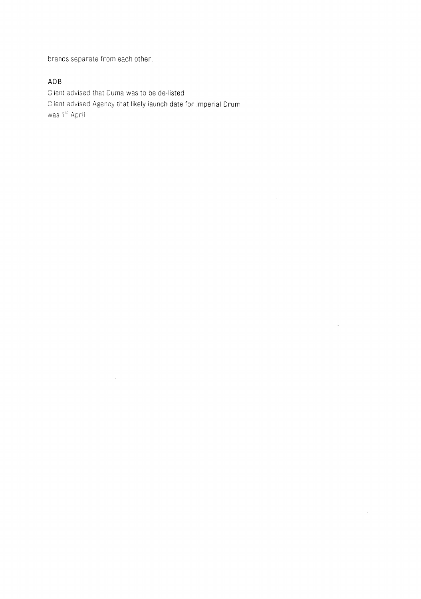brands separate from each other.

 $\sim 10^{-1}$ 

 $\bar{z}$ 

#### AOB

Ciient advised that Duma was to be de-listed Client advised Agency that likely launch date for Imperial Drum was  $\mathbb{1}^{\text{st}}$  April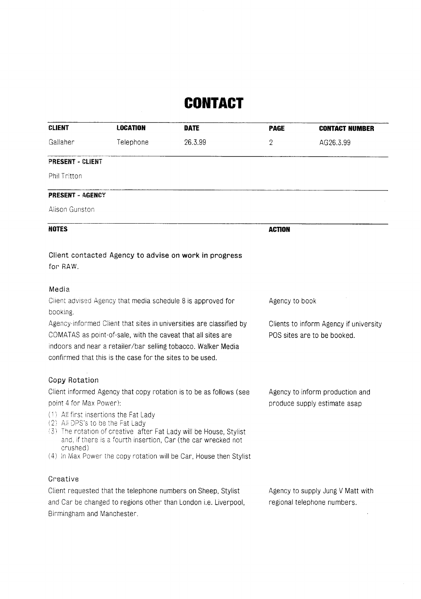## **CONTACT**

| <b>CLIENT</b>              | <b>LOCATION</b>                                                                                                                                                                                                                                                   | <b>DATE</b>                                                                                                                         | <b>PAGE</b>                       | <b>CONTACT NUMBER</b>           |
|----------------------------|-------------------------------------------------------------------------------------------------------------------------------------------------------------------------------------------------------------------------------------------------------------------|-------------------------------------------------------------------------------------------------------------------------------------|-----------------------------------|---------------------------------|
| Gallaher                   | Telephone                                                                                                                                                                                                                                                         | 26.3.99                                                                                                                             | 2                                 | AG26.3.99                       |
| PRESENT - CLIENT           |                                                                                                                                                                                                                                                                   |                                                                                                                                     |                                   |                                 |
| Phil Tritton               |                                                                                                                                                                                                                                                                   |                                                                                                                                     |                                   |                                 |
| <b>PRESENT - AGENCY</b>    |                                                                                                                                                                                                                                                                   |                                                                                                                                     |                                   |                                 |
| Alison Gunston             |                                                                                                                                                                                                                                                                   |                                                                                                                                     |                                   |                                 |
| <b>NOTES</b>               |                                                                                                                                                                                                                                                                   |                                                                                                                                     | <b>ACTION</b>                     |                                 |
| for RAW.                   |                                                                                                                                                                                                                                                                   | Client contacted Agency to advise on work in progress                                                                               |                                   |                                 |
| Media                      |                                                                                                                                                                                                                                                                   |                                                                                                                                     |                                   |                                 |
|                            | Client advised Agency that media schedule 8 is approved for                                                                                                                                                                                                       |                                                                                                                                     | Agency to book                    |                                 |
| booking.                   | Agency informed Client that sites in universities are classified by<br>COMATAS as point-of-sale, with the caveat that all sites are<br>indoors and near a retailer/bar selling tobacco. Walker Media<br>confirmed that this is the case for the sites to be used. | Clients to inform Agency if university<br>POS sites are to be booked.                                                               |                                   |                                 |
| <b>Copy Rotation</b>       |                                                                                                                                                                                                                                                                   | Client informed Agency that copy rotation is to be as follows (see                                                                  |                                   | Agency to inform production and |
| point 4 for Max Power):    |                                                                                                                                                                                                                                                                   |                                                                                                                                     | produce supply estimate asap      |                                 |
| crushed)                   | (1) All first insertions the Fat Lady<br>(2) All DPS's to be the Fat Lady                                                                                                                                                                                         | (3) The rotation of creative after Fat Lady will be House, Stylist<br>and, if there is a fourth insertion, Car (the car wrecked not |                                   |                                 |
|                            |                                                                                                                                                                                                                                                                   | (4) In Max Power the copy rotation will be Car, House then Stylist                                                                  |                                   |                                 |
| Creative                   |                                                                                                                                                                                                                                                                   |                                                                                                                                     |                                   |                                 |
|                            | Client requested that the telephone numbers on Sheep, Stylist                                                                                                                                                                                                     |                                                                                                                                     | Agency to supply Jung V Matt with |                                 |
| Birmingham and Manchester. |                                                                                                                                                                                                                                                                   | and Car be changed to regions other than London <i>i.e.</i> Liverpool,                                                              |                                   | regional telephone numbers.     |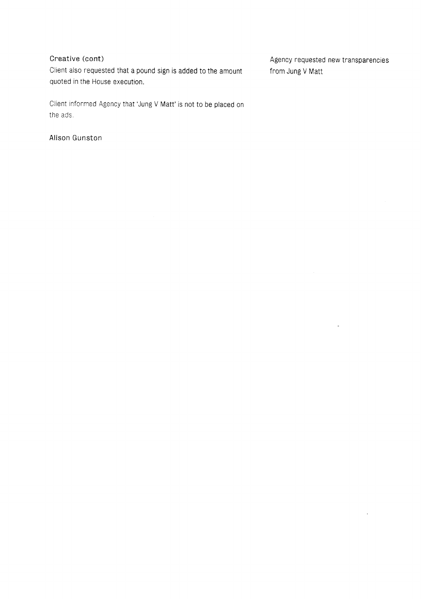Client also requested that a pound sign is added to the amount from Jung V Matt quoted in the House execution.

Client informed Agency that 'Jung V Matt' is not to be placed on the ads.

Alison Gunston

Creative (cont) Creative (cont) Agency requested new transparencies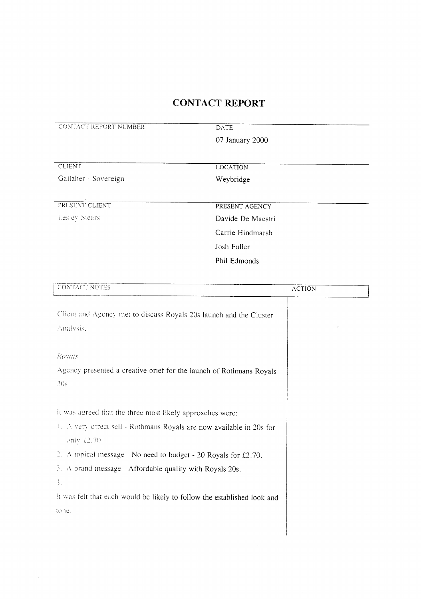| CONTACT REPORT NUMBER                                                               | <b>DATE</b>       |
|-------------------------------------------------------------------------------------|-------------------|
|                                                                                     | 07 January 2000   |
| <b>CLIENT</b>                                                                       | <b>LOCATION</b>   |
| Gallaher - Sovereign                                                                | Weybridge         |
| PRESENT CLIENT                                                                      | PRESENT AGENCY    |
| Lesley Stears                                                                       | Davide De Maestri |
|                                                                                     | Carrie Hindmarsh  |
|                                                                                     | Josh Fuller       |
|                                                                                     | Phil Edmonds      |
| <b>CONTACT NOTES</b>                                                                |                   |
|                                                                                     | <b>ACTION</b>     |
| Client and Agency met to discuss Royals 20s launch and the Cluster<br>Analysis.     |                   |
| Royals                                                                              |                   |
| Agency presented a creative brief for the launch of Rothmans Royals                 |                   |
| 20s.                                                                                |                   |
|                                                                                     |                   |
| it was agreed that the three most likely approaches were:                           |                   |
| L. A very direct sell - Rothmans Royals are now available in 20s for<br>eniv £2.70. |                   |
| 2. A topical message - No need to budget - 20 Royals for £2.70.                     |                   |
| 3. A brand message - Affordable quality with Royals 20s.                            |                   |
| 4.                                                                                  |                   |
| It was felt that each would be likely to follow the established look and            |                   |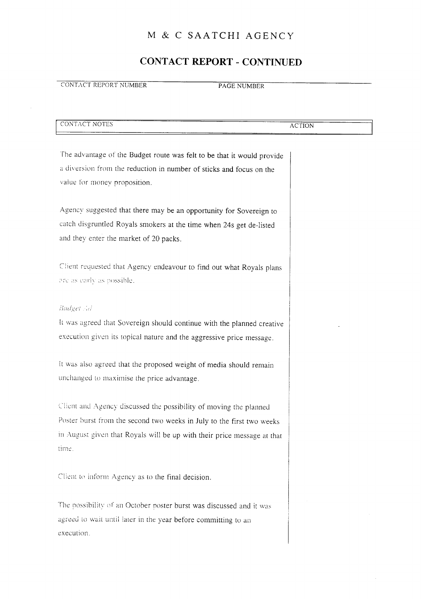#### CONTACT REPORT - CONTINUED

#### **CONTACT REPORT NUMBER** PAGE NUMBER

| ________<br>CONTACT NOTES<br>-CC | -------<br>ACTION |
|----------------------------------|-------------------|
|                                  |                   |
| ____________<br>--<br>_______    |                   |

The advantage of the Budget route was felt to be that it would provide a diversion from the reduction in number of sticks and focus on the value for money proposition.

Agency suggested that there may be an opportunity for Sovereign to catch disgruntled Royals smokers at the time when 24s get de-listed and they enter the market of 20 packs .

Client requested that Agency endeavour to find out what Royals plans are as early as possible.

#### **Budget** Ad

It was agreed that Sovereign should continue with the planned creative execution given its topical nature and the aggressive price message .

it was also agreed that the proposed weight of media should remain unchanged to maximise the price advantage.

Client and Agency discussed the possibility of moving the planned Poster burst from the second two weeks in July to the first two weeks in August given that Royals will be up with their price message at that time.

Client to inform Agency as to the final decision.

The possibility of an October poster burst was discussed and it was agreed to wait until later in the year before committing to an execution.